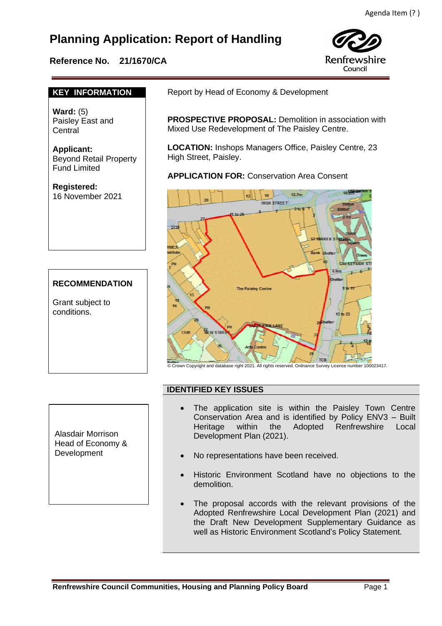# **Planning Application: Report of Handling**

## **Reference No. 21/1670/CA**



## **KEY INFORMATION**

**Ward:** (5) Paisley East and Central

**Applicant:** Beyond Retail Property Fund Limited

**Registered:**  16 November 2021

## **RECOMMENDATION**

Grant subject to conditions.

Report by Head of Economy & Development

**PROSPECTIVE PROPOSAL:** Demolition in association with Mixed Use Redevelopment of The Paisley Centre.

**LOCATION:** Inshops Managers Office, Paisley Centre, 23 High Street, Paisley.

**APPLICATION FOR:** Conservation Area Consent



© Crown Copyright and database right 2021. All rights reserved. Ordnance Survey Licence number 100023417.

## **IDENTIFIED KEY ISSUES**

Alasdair Morrison Head of Economy & Development

- The application site is within the Paisley Town Centre Conservation Area and is identified by Policy ENV3 – Built Heritage within the Adopted Renfrewshire Local Development Plan (2021).
- No representations have been received.
- Historic Environment Scotland have no objections to the demolition.
- The proposal accords with the relevant provisions of the Adopted Renfrewshire Local Development Plan (2021) and the Draft New Development Supplementary Guidance as well as Historic Environment Scotland's Policy Statement.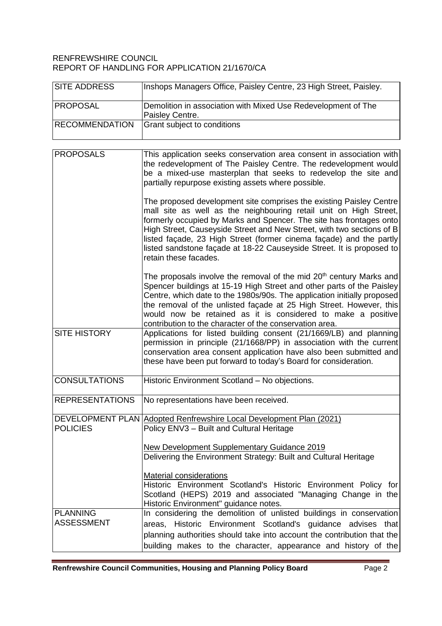#### RENFREWSHIRE COUNCIL REPORT OF HANDLING FOR APPLICATION 21/1670/CA

| <b>SITE ADDRESS</b>                  | Inshops Managers Office, Paisley Centre, 23 High Street, Paisley.                                                                                                                                                                                                                                                                                                                                                                                                 |
|--------------------------------------|-------------------------------------------------------------------------------------------------------------------------------------------------------------------------------------------------------------------------------------------------------------------------------------------------------------------------------------------------------------------------------------------------------------------------------------------------------------------|
| <b>PROPOSAL</b>                      | Demolition in association with Mixed Use Redevelopment of The<br>Paisley Centre.                                                                                                                                                                                                                                                                                                                                                                                  |
| <b>RECOMMENDATION</b>                | Grant subject to conditions                                                                                                                                                                                                                                                                                                                                                                                                                                       |
| <b>PROPOSALS</b>                     | This application seeks conservation area consent in association with<br>the redevelopment of The Paisley Centre. The redevelopment would<br>be a mixed-use masterplan that seeks to redevelop the site and<br>partially repurpose existing assets where possible.                                                                                                                                                                                                 |
|                                      | The proposed development site comprises the existing Paisley Centre<br>mall site as well as the neighbouring retail unit on High Street,<br>formerly occupied by Marks and Spencer. The site has frontages onto<br>High Street, Causeyside Street and New Street, with two sections of B<br>listed façade, 23 High Street (former cinema façade) and the partly<br>listed sandstone façade at 18-22 Causeyside Street. It is proposed to<br>retain these facades. |
|                                      | The proposals involve the removal of the mid $20th$ century Marks and<br>Spencer buildings at 15-19 High Street and other parts of the Paisley<br>Centre, which date to the 1980s/90s. The application initially proposed<br>the removal of the unlisted façade at 25 High Street. However, this<br>would now be retained as it is considered to make a positive<br>contribution to the character of the conservation area.                                       |
| <b>SITE HISTORY</b>                  | Applications for listed building consent (21/1669/LB) and planning<br>permission in principle (21/1668/PP) in association with the current<br>conservation area consent application have also been submitted and<br>these have been put forward to today's Board for consideration.                                                                                                                                                                               |
| <b>CONSULTATIONS</b>                 | Historic Environment Scotland - No objections.                                                                                                                                                                                                                                                                                                                                                                                                                    |
| <b>REPRESENTATIONS</b>               | No representations have been received.                                                                                                                                                                                                                                                                                                                                                                                                                            |
| <b>POLICIES</b>                      | DEVELOPMENT PLAN Adopted Renfrewshire Local Development Plan (2021)<br>Policy ENV3 - Built and Cultural Heritage                                                                                                                                                                                                                                                                                                                                                  |
|                                      | New Development Supplementary Guidance 2019<br>Delivering the Environment Strategy: Built and Cultural Heritage                                                                                                                                                                                                                                                                                                                                                   |
|                                      | <b>Material considerations</b><br>Historic Environment Scotland's Historic Environment Policy for<br>Scotland (HEPS) 2019 and associated "Managing Change in the<br>Historic Environment" guidance notes.                                                                                                                                                                                                                                                         |
| <b>PLANNING</b><br><b>ASSESSMENT</b> | In considering the demolition of unlisted buildings in conservation<br>areas, Historic Environment Scotland's guidance advises that<br>planning authorities should take into account the contribution that the<br>building makes to the character, appearance and history of the                                                                                                                                                                                  |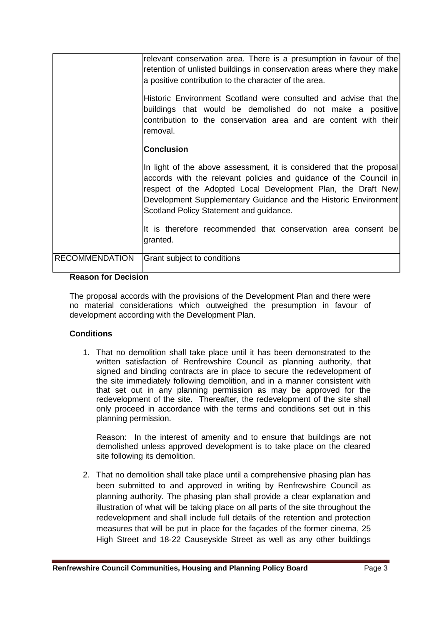|                       | relevant conservation area. There is a presumption in favour of the<br>retention of unlisted buildings in conservation areas where they make<br>a positive contribution to the character of the area.<br>Historic Environment Scotland were consulted and advise that the<br>buildings that would be demolished do not make a positive<br>contribution to the conservation area and are content with their<br>removal. |
|-----------------------|------------------------------------------------------------------------------------------------------------------------------------------------------------------------------------------------------------------------------------------------------------------------------------------------------------------------------------------------------------------------------------------------------------------------|
|                       | <b>Conclusion</b>                                                                                                                                                                                                                                                                                                                                                                                                      |
|                       | In light of the above assessment, it is considered that the proposal<br>accords with the relevant policies and guidance of the Council in<br>respect of the Adopted Local Development Plan, the Draft New<br>Development Supplementary Guidance and the Historic Environment<br>Scotland Policy Statement and guidance.                                                                                                |
|                       | It is therefore recommended that conservation area consent be<br>granted.                                                                                                                                                                                                                                                                                                                                              |
| <b>RECOMMENDATION</b> | Grant subject to conditions                                                                                                                                                                                                                                                                                                                                                                                            |

#### **Reason for Decision**

The proposal accords with the provisions of the Development Plan and there were no material considerations which outweighed the presumption in favour of development according with the Development Plan.

#### **Conditions**

1. That no demolition shall take place until it has been demonstrated to the written satisfaction of Renfrewshire Council as planning authority, that signed and binding contracts are in place to secure the redevelopment of the site immediately following demolition, and in a manner consistent with that set out in any planning permission as may be approved for the redevelopment of the site. Thereafter, the redevelopment of the site shall only proceed in accordance with the terms and conditions set out in this planning permission.

Reason: In the interest of amenity and to ensure that buildings are not demolished unless approved development is to take place on the cleared site following its demolition.

2. That no demolition shall take place until a comprehensive phasing plan has been submitted to and approved in writing by Renfrewshire Council as planning authority. The phasing plan shall provide a clear explanation and illustration of what will be taking place on all parts of the site throughout the redevelopment and shall include full details of the retention and protection measures that will be put in place for the façades of the former cinema, 25 High Street and 18-22 Causeyside Street as well as any other buildings